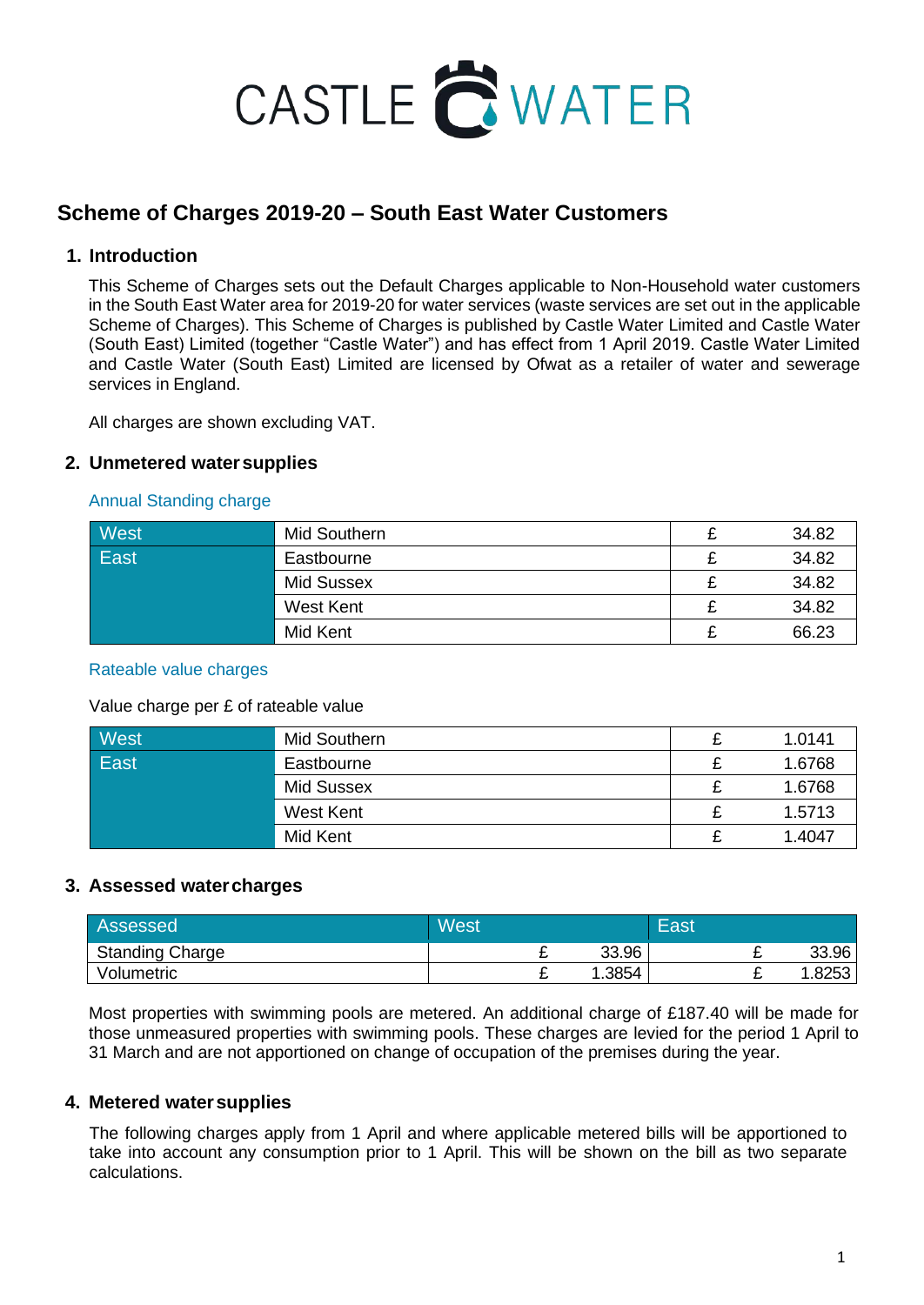

## **Scheme of Charges 2019-20 – South East Water Customers**

## **1. Introduction**

This Scheme of Charges sets out the Default Charges applicable to Non-Household water customers in the South East Water area for 2019-20 for water services (waste services are set out in the applicable Scheme of Charges). This Scheme of Charges is published by Castle Water Limited and Castle Water (South East) Limited (together "Castle Water") and has effect from 1 April 2019. Castle Water Limited and Castle Water (South East) Limited are licensed by Ofwat as a retailer of water and sewerage services in England.

All charges are shown excluding VAT.

### **2. Unmetered watersupplies**

### Annual Standing charge

| West | Mid Southern | 34.82 |
|------|--------------|-------|
| East | Eastbourne   | 34.82 |
|      | Mid Sussex   | 34.82 |
|      | West Kent    | 34.82 |
|      | Mid Kent     | 66.23 |

### Rateable value charges

#### Value charge per £ of rateable value

| West | Mid Southern      | 1.0141 |
|------|-------------------|--------|
| East | Eastbourne        | 1.6768 |
|      | <b>Mid Sussex</b> | 1.6768 |
|      | West Kent         | 1.5713 |
|      | Mid Kent          | 1.4047 |

### **3. Assessed watercharges**

| Assessed               | <b>West</b> |   |       | East |   |       |
|------------------------|-------------|---|-------|------|---|-------|
| <b>Standing Charge</b> |             |   | 33.96 |      | - | 33.96 |
| Volumetric             |             | - | .3854 |      | - | .8253 |

Most properties with swimming pools are metered. An additional charge of £187.40 will be made for those unmeasured properties with swimming pools. These charges are levied for the period 1 April to 31 March and are not apportioned on change of occupation of the premises during the year.

### **4. Metered watersupplies**

The following charges apply from 1 April and where applicable metered bills will be apportioned to take into account any consumption prior to 1 April. This will be shown on the bill as two separate calculations.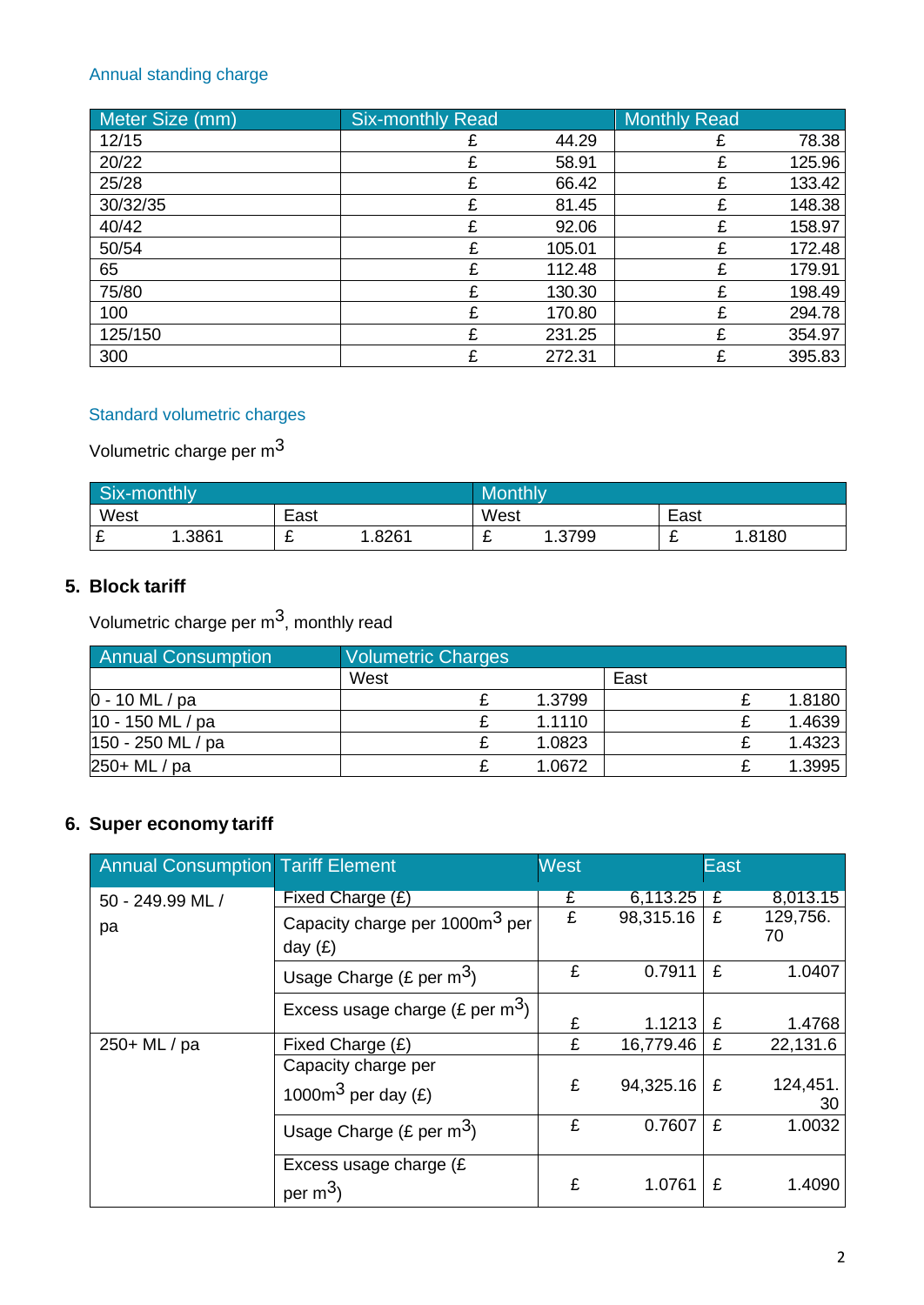## Annual standing charge

| Meter Size (mm) | <b>Six-monthly Read</b> |        | <b>Monthly Read</b> |        |
|-----------------|-------------------------|--------|---------------------|--------|
| 12/15           |                         | 44.29  |                     | 78.38  |
| 20/22           |                         | 58.91  |                     | 125.96 |
| 25/28           |                         | 66.42  |                     | 133.42 |
| 30/32/35        | £                       | 81.45  | £                   | 148.38 |
| 40/42           | £                       | 92.06  | £                   | 158.97 |
| 50/54           | £                       | 105.01 | £                   | 172.48 |
| 65              |                         | 112.48 | £                   | 179.91 |
| 75/80           |                         | 130.30 | £                   | 198.49 |
| 100             | F                       | 170.80 | £                   | 294.78 |
| 125/150         | £                       | 231.25 | £                   | 354.97 |
| 300             |                         | 272.31 | £                   | 395.83 |

## Standard volumetric charges

# Volumetric charge per m3

| Six-monthly |       |      | <b>Monthly</b> |      |              |      |       |
|-------------|-------|------|----------------|------|--------------|------|-------|
| West        |       | East |                | West |              | East |       |
| ◠<br>~      | .3861 | -    | .8261          | -    | .3799<br>، ن | -    | .8180 |

## **5. Block tariff**

Volumetric charge per  $m^3$ , monthly read

| <b>Annual Consumption</b> | Volumetric Charges |        |      |        |
|---------------------------|--------------------|--------|------|--------|
|                           | West               |        | East |        |
| $0 - 10$ ML / pa          |                    | 1.3799 |      | 1.8180 |
| 10 - 150 ML / pa          |                    | 1.1110 |      | 1.4639 |
| 150 - 250 ML / pa         |                    | 1.0823 |      | 1.4323 |
| 250+ ML / pa              |                    | 1.0672 |      | 1.3995 |

## **6. Super economy tariff**

| <b>Annual Consumption Tariff Element</b> |                                                         | <b>West</b> |           | <b>East</b>    |                |
|------------------------------------------|---------------------------------------------------------|-------------|-----------|----------------|----------------|
| 50 - 249.99 ML /                         | Fixed Charge (£)                                        | £           | 6,113.25  | $\overline{f}$ | 8,013.15       |
| pa                                       | Capacity charge per 1000m <sup>3</sup> per<br>day $(E)$ | £           | 98,315.16 | £              | 129,756.<br>70 |
|                                          | Usage Charge (£ per $m^3$ )                             | £           | 0.7911    | £              | 1.0407         |
|                                          | Excess usage charge (£ per $m^3$ )                      | £           | 1.1213    | £              | 1.4768         |
| 250+ ML / pa                             | Fixed Charge (£)                                        | £           | 16,779.46 | £              | 22,131.6       |
|                                          | Capacity charge per<br>1000 $m3$ per day (£)            | £           | 94,325.16 | £              | 124,451.<br>30 |
|                                          | Usage Charge (£ per $m^3$ )                             | £           | 0.7607    | £              | 1.0032         |
|                                          | Excess usage charge (£<br>per $m^3$ )                   | £           | 1.0761    | £              | 1.4090         |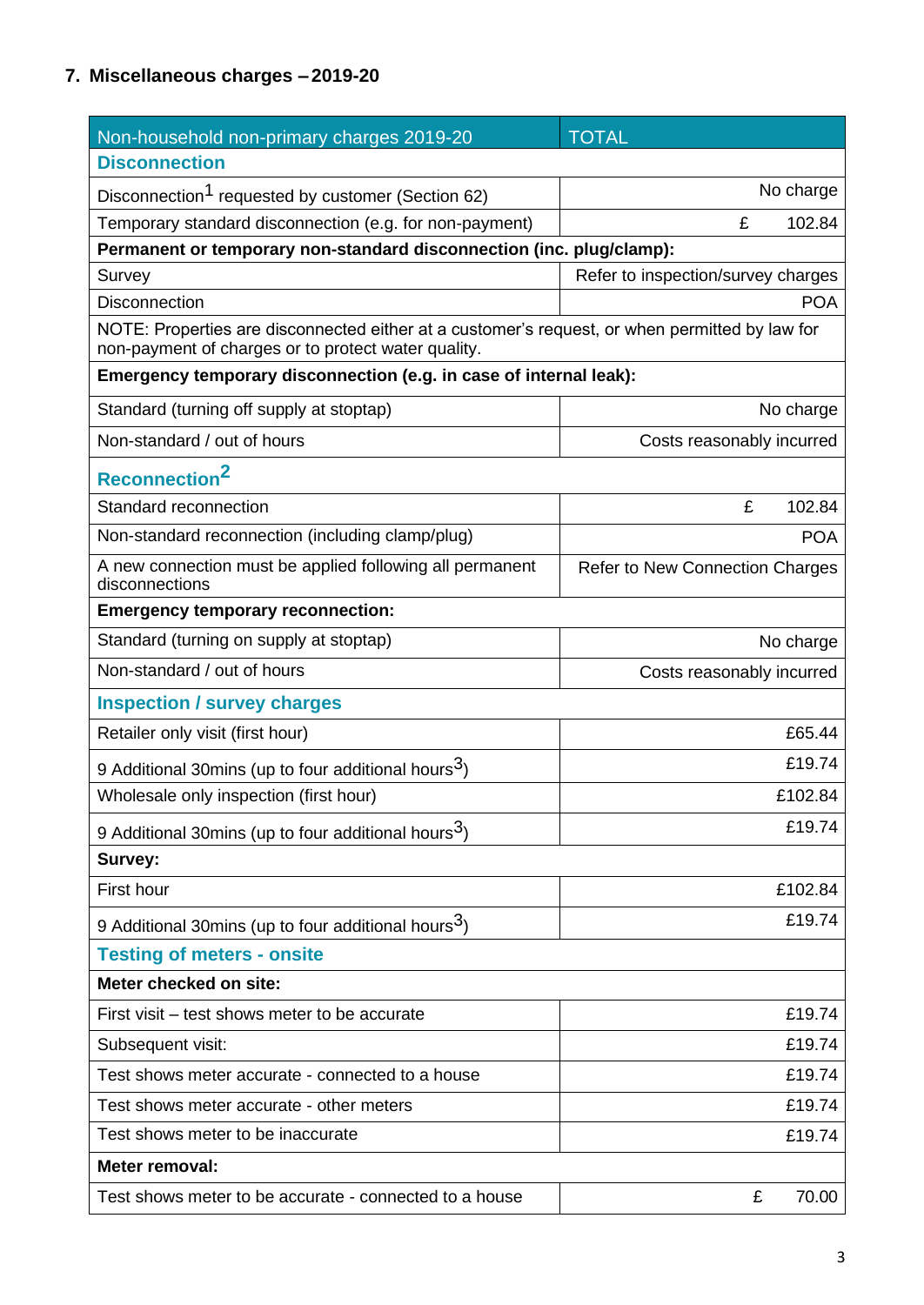## **7. Miscellaneous charges – 2019-20**

| Non-household non-primary charges 2019-20                                                                                                             | <b>TOTAL</b>                           |  |  |  |  |
|-------------------------------------------------------------------------------------------------------------------------------------------------------|----------------------------------------|--|--|--|--|
| <b>Disconnection</b>                                                                                                                                  |                                        |  |  |  |  |
| Disconnection <sup>1</sup> requested by customer (Section 62)                                                                                         | No charge                              |  |  |  |  |
| Temporary standard disconnection (e.g. for non-payment)                                                                                               | £<br>102.84                            |  |  |  |  |
| Permanent or temporary non-standard disconnection (inc. plug/clamp):                                                                                  |                                        |  |  |  |  |
| Survey                                                                                                                                                | Refer to inspection/survey charges     |  |  |  |  |
| <b>Disconnection</b>                                                                                                                                  | <b>POA</b>                             |  |  |  |  |
| NOTE: Properties are disconnected either at a customer's request, or when permitted by law for<br>non-payment of charges or to protect water quality. |                                        |  |  |  |  |
| Emergency temporary disconnection (e.g. in case of internal leak):                                                                                    |                                        |  |  |  |  |
| Standard (turning off supply at stoptap)                                                                                                              | No charge                              |  |  |  |  |
| Non-standard / out of hours                                                                                                                           | Costs reasonably incurred              |  |  |  |  |
| Reconnection <sup>2</sup>                                                                                                                             |                                        |  |  |  |  |
| Standard reconnection                                                                                                                                 | £<br>102.84                            |  |  |  |  |
| Non-standard reconnection (including clamp/plug)                                                                                                      | <b>POA</b>                             |  |  |  |  |
| A new connection must be applied following all permanent<br>disconnections                                                                            | <b>Refer to New Connection Charges</b> |  |  |  |  |
| <b>Emergency temporary reconnection:</b>                                                                                                              |                                        |  |  |  |  |
| Standard (turning on supply at stoptap)                                                                                                               | No charge                              |  |  |  |  |
| Non-standard / out of hours                                                                                                                           | Costs reasonably incurred              |  |  |  |  |
| <b>Inspection / survey charges</b>                                                                                                                    |                                        |  |  |  |  |
| Retailer only visit (first hour)                                                                                                                      | £65.44                                 |  |  |  |  |
| 9 Additional 30mins (up to four additional hours <sup>3</sup> )                                                                                       | £19.74                                 |  |  |  |  |
| Wholesale only inspection (first hour)                                                                                                                | £102.84                                |  |  |  |  |
| 9 Additional 30mins (up to four additional hours <sup>3</sup> )                                                                                       | £19.74                                 |  |  |  |  |
| Survey:                                                                                                                                               |                                        |  |  |  |  |
| First hour                                                                                                                                            | £102.84                                |  |  |  |  |
| 9 Additional 30mins (up to four additional hours <sup>3</sup> )                                                                                       | £19.74                                 |  |  |  |  |
| <b>Testing of meters - onsite</b>                                                                                                                     |                                        |  |  |  |  |
| Meter checked on site:                                                                                                                                |                                        |  |  |  |  |
| First visit – test shows meter to be accurate                                                                                                         | £19.74                                 |  |  |  |  |
| Subsequent visit:                                                                                                                                     | £19.74                                 |  |  |  |  |
| Test shows meter accurate - connected to a house                                                                                                      | £19.74                                 |  |  |  |  |
| Test shows meter accurate - other meters                                                                                                              | £19.74                                 |  |  |  |  |
| Test shows meter to be inaccurate                                                                                                                     | £19.74                                 |  |  |  |  |
| Meter removal:                                                                                                                                        |                                        |  |  |  |  |
| Test shows meter to be accurate - connected to a house                                                                                                | 70.00<br>£                             |  |  |  |  |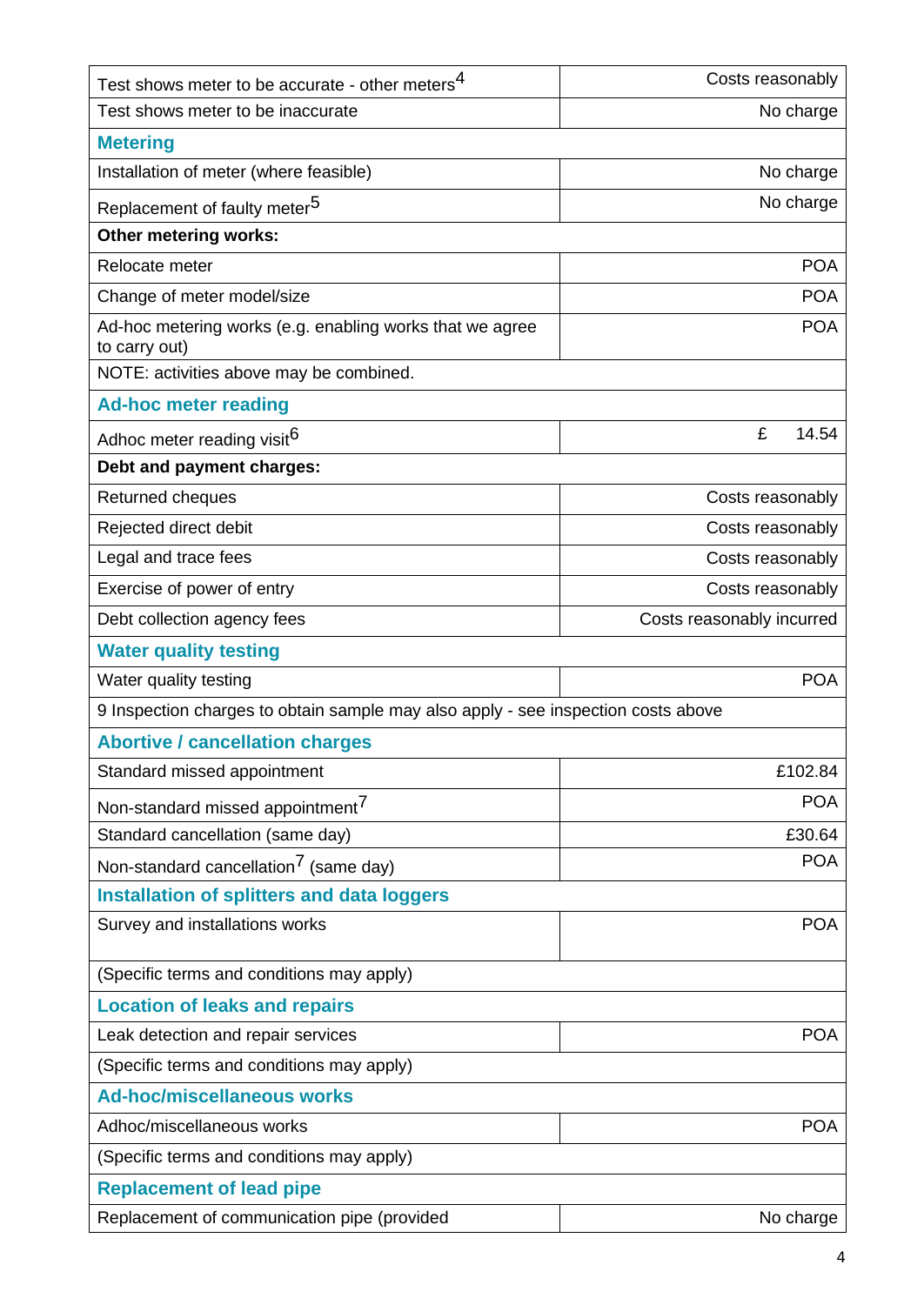| Test shows meter to be accurate - other meters <sup>4</sup>                       | Costs reasonably          |  |  |
|-----------------------------------------------------------------------------------|---------------------------|--|--|
| Test shows meter to be inaccurate                                                 | No charge                 |  |  |
| <b>Metering</b>                                                                   |                           |  |  |
| Installation of meter (where feasible)                                            | No charge                 |  |  |
| Replacement of faulty meter <sup>5</sup>                                          | No charge                 |  |  |
| Other metering works:                                                             |                           |  |  |
| Relocate meter                                                                    | <b>POA</b>                |  |  |
| Change of meter model/size                                                        | <b>POA</b>                |  |  |
| Ad-hoc metering works (e.g. enabling works that we agree<br>to carry out)         | <b>POA</b>                |  |  |
| NOTE: activities above may be combined.                                           |                           |  |  |
| <b>Ad-hoc meter reading</b>                                                       |                           |  |  |
| Adhoc meter reading visit <sup>6</sup>                                            | £<br>14.54                |  |  |
| Debt and payment charges:                                                         |                           |  |  |
| Returned cheques                                                                  | Costs reasonably          |  |  |
| Rejected direct debit                                                             | Costs reasonably          |  |  |
| Legal and trace fees                                                              | Costs reasonably          |  |  |
| Exercise of power of entry                                                        | Costs reasonably          |  |  |
| Debt collection agency fees                                                       | Costs reasonably incurred |  |  |
| <b>Water quality testing</b>                                                      |                           |  |  |
| Water quality testing                                                             | <b>POA</b>                |  |  |
| 9 Inspection charges to obtain sample may also apply - see inspection costs above |                           |  |  |
| <b>Abortive / cancellation charges</b>                                            |                           |  |  |
| Standard missed appointment                                                       | £102.84                   |  |  |
| Non-standard missed appointment <sup>7</sup>                                      | <b>POA</b>                |  |  |
| Standard cancellation (same day)                                                  | £30.64                    |  |  |
| Non-standard cancellation <sup>7</sup> (same day)                                 | <b>POA</b>                |  |  |
| <b>Installation of splitters and data loggers</b>                                 |                           |  |  |
| Survey and installations works                                                    | <b>POA</b>                |  |  |
| (Specific terms and conditions may apply)                                         |                           |  |  |
| <b>Location of leaks and repairs</b>                                              |                           |  |  |
| Leak detection and repair services                                                | <b>POA</b>                |  |  |
| (Specific terms and conditions may apply)                                         |                           |  |  |
| <b>Ad-hoc/miscellaneous works</b>                                                 |                           |  |  |
| Adhoc/miscellaneous works                                                         | <b>POA</b>                |  |  |
| (Specific terms and conditions may apply)                                         |                           |  |  |
| <b>Replacement of lead pipe</b>                                                   |                           |  |  |
| Replacement of communication pipe (provided                                       | No charge                 |  |  |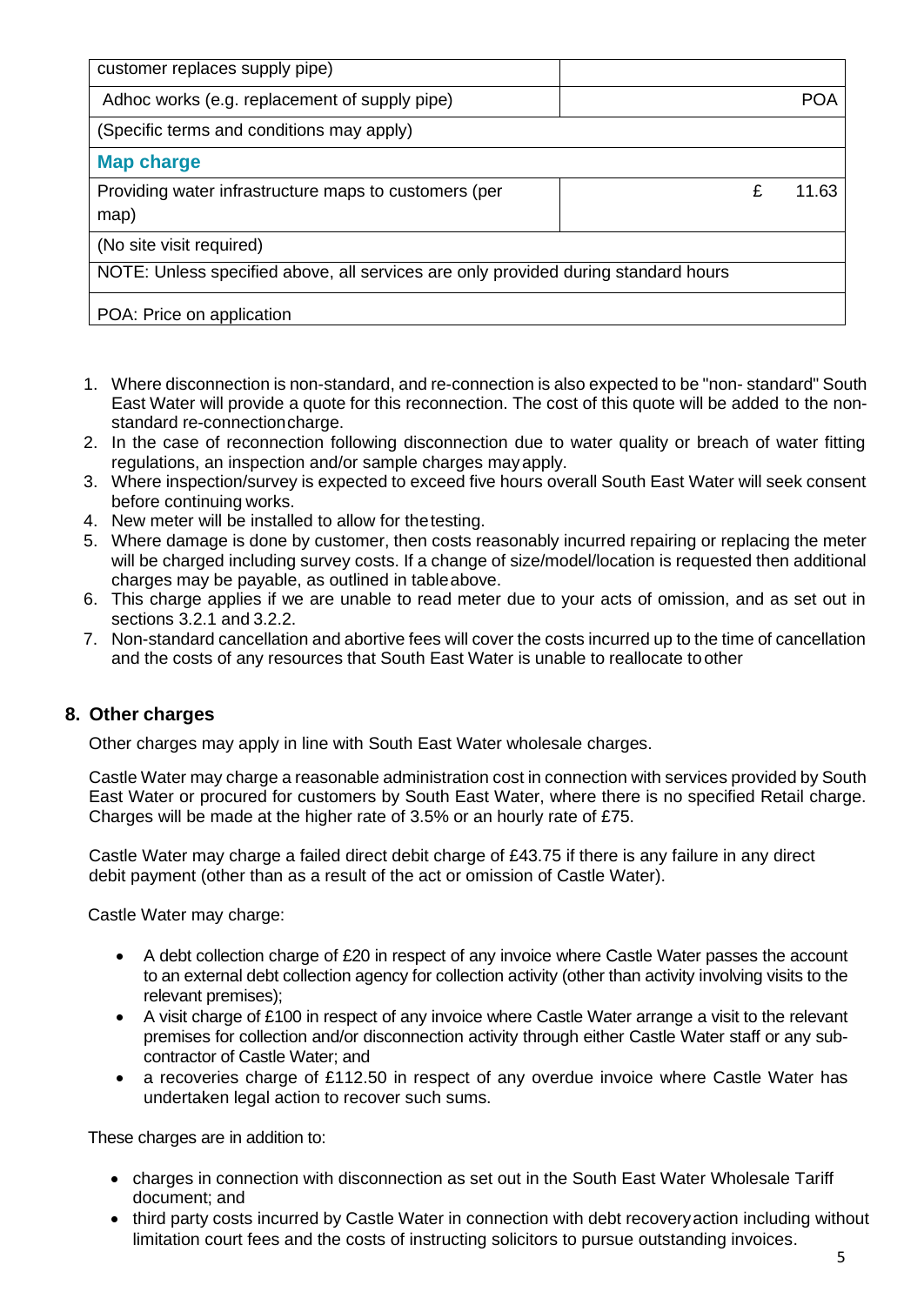| customer replaces supply pipe)                                                     |  |       |
|------------------------------------------------------------------------------------|--|-------|
| Adhoc works (e.g. replacement of supply pipe)                                      |  | POA   |
| (Specific terms and conditions may apply)                                          |  |       |
| <b>Map charge</b>                                                                  |  |       |
| Providing water infrastructure maps to customers (per<br>map)                      |  | 11.63 |
| (No site visit required)                                                           |  |       |
| NOTE: Unless specified above, all services are only provided during standard hours |  |       |
| POA: Price on application                                                          |  |       |

- 1. Where disconnection is non-standard, and re-connection is also expected to be "non- standard" South East Water will provide a quote for this reconnection. The cost of this quote will be added to the nonstandard re-connectioncharge.
- 2. In the case of reconnection following disconnection due to water quality or breach of water fitting regulations, an inspection and/or sample charges mayapply.
- 3. Where inspection/survey is expected to exceed five hours overall South East Water will seek consent before continuing works.
- 4. New meter will be installed to allow for thetesting.
- 5. Where damage is done by customer, then costs reasonably incurred repairing or replacing the meter will be charged including survey costs. If a change of size/model/location is requested then additional charges may be payable, as outlined in tableabove.
- 6. This charge applies if we are unable to read meter due to your acts of omission, and as set out in sections 3.2.1 and 3.2.2.
- 7. Non-standard cancellation and abortive fees will cover the costs incurred up to the time of cancellation and the costs of any resources that South East Water is unable to reallocate to other

## **8. Other charges**

Other charges may apply in line with South East Water wholesale charges.

Castle Water may charge a reasonable administration cost in connection with services provided by South East Water or procured for customers by South East Water, where there is no specified Retail charge. Charges will be made at the higher rate of 3.5% or an hourly rate of £75.

Castle Water may charge a failed direct debit charge of £43.75 if there is any failure in any direct debit payment (other than as a result of the act or omission of Castle Water).

Castle Water may charge:

- A debt collection charge of £20 in respect of any invoice where Castle Water passes the account to an external debt collection agency for collection activity (other than activity involving visits to the relevant premises);
- A visit charge of £100 in respect of any invoice where Castle Water arrange a visit to the relevant premises for collection and/or disconnection activity through either Castle Water staff or any subcontractor of Castle Water; and
- a recoveries charge of £112.50 in respect of any overdue invoice where Castle Water has undertaken legal action to recover such sums.

These charges are in addition to:

- charges in connection with disconnection as set out in the South East Water Wholesale Tariff document; and
- third party costs incurred by Castle Water in connection with debt recoveryaction including without limitation court fees and the costs of instructing solicitors to pursue outstanding invoices.